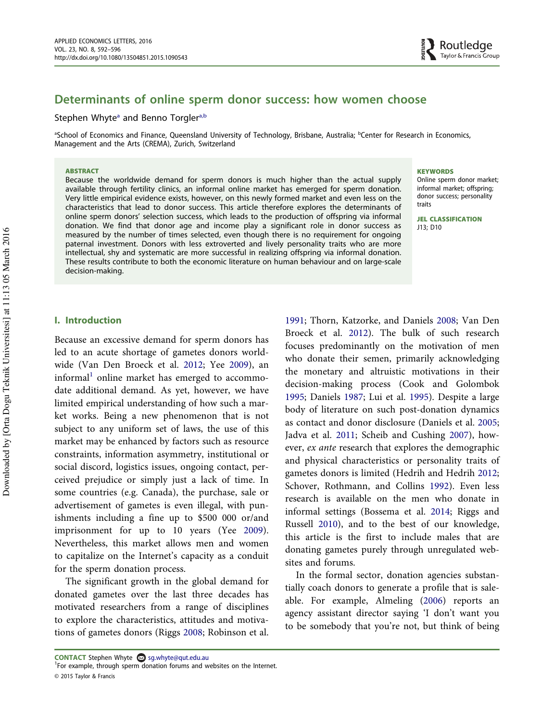# Determinants of online sperm donor success: how women choose

### Stephen Whyte<sup>a</sup> and Benno Torgler<sup>a,b</sup>

aSchool of Economics and Finance, Queensland University of Technology, Brisbane, Australia; <sup>b</sup>Center for Research in Economics, Management and the Arts (CREMA), Zurich, Switzerland

#### **ABSTRACT**

Because the worldwide demand for sperm donors is much higher than the actual supply available through fertility clinics, an informal online market has emerged for sperm donation. Very little empirical evidence exists, however, on this newly formed market and even less on the characteristics that lead to donor success. This article therefore explores the determinants of online sperm donors' selection success, which leads to the production of offspring via informal donation. We find that donor age and income play a significant role in donor success as measured by the number of times selected, even though there is no requirement for ongoing paternal investment. Donors with less extroverted and lively personality traits who are more intellectual, shy and systematic are more successful in realizing offspring via informal donation. These results contribute to both the economic literature on human behaviour and on large-scale decision-making.

#### **KEYWORDS**

Online sperm donor market; informal market; offspring; donor success; personality traits

JEL CLASSIFICATION J13; D10

# I. Introduction

Because an excessive demand for sperm donors has led to an acute shortage of gametes donors worldwide (Van Den Broeck et al. 2012; Yee 2009), an informal<sup>1</sup> online market has emerged to accommodate additional demand. As yet, however, we have limited empirical understanding of how such a market works. Being a new phenomenon that is not subject to any uniform set of laws, the use of this market may be enhanced by factors such as resource constraints, information asymmetry, institutional or social discord, logistics issues, ongoing contact, perceived prejudice or simply just a lack of time. In some countries (e.g. Canada), the purchase, sale or advertisement of gametes is even illegal, with punishments including a fine up to \$500 000 or/and imprisonment for up to 10 years (Yee 2009). Nevertheless, this market allows men and women to capitalize on the Internet's capacity as a conduit for the sperm donation process.

The significant growth in the global demand for donated gametes over the last three decades has motivated researchers from a range of disciplines to explore the characteristics, attitudes and motivations of gametes donors (Riggs 2008; Robinson et al.

In the formal sector, donation agencies substantially coach donors to generate a profile that is saleable. For example, Almeling (2006) reports an agency assistant director saying 'I don't want you to be somebody that you're not, but think of being

<sup>1991;</sup> Thorn, Katzorke, and Daniels 2008; Van Den Broeck et al. 2012). The bulk of such research focuses predominantly on the motivation of men who donate their semen, primarily acknowledging the monetary and altruistic motivations in their decision-making process (Cook and Golombok 1995; Daniels 1987; Lui et al. 1995). Despite a large body of literature on such post-donation dynamics as contact and donor disclosure (Daniels et al. 2005; Jadva et al. 2011; Scheib and Cushing 2007), however, ex ante research that explores the demographic and physical characteristics or personality traits of gametes donors is limited (Hedrih and Hedrih 2012; Schover, Rothmann, and Collins 1992). Even less research is available on the men who donate in informal settings (Bossema et al. 2014; Riggs and Russell 2010), and to the best of our knowledge, this article is the first to include males that are donating gametes purely through unregulated websites and forums.

**CONTACT** Stephen Whyte  $\otimes$  sg.whyte@qut.edu.au

<sup>&</sup>lt;sup>1</sup>For example, through sperm donation forums and websites on the Internet. © 2015 Taylor & Francis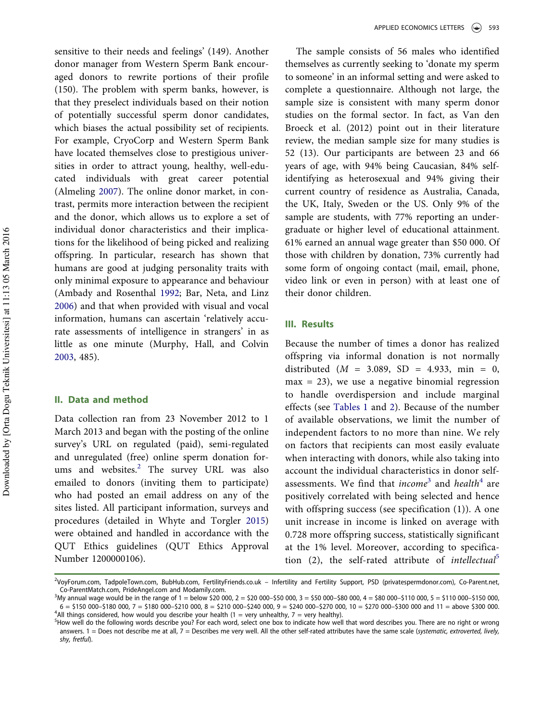sensitive to their needs and feelings' (149). Another donor manager from Western Sperm Bank encouraged donors to rewrite portions of their profile (150). The problem with sperm banks, however, is that they preselect individuals based on their notion of potentially successful sperm donor candidates, which biases the actual possibility set of recipients. For example, CryoCorp and Western Sperm Bank have located themselves close to prestigious universities in order to attract young, healthy, well-educated individuals with great career potential (Almeling 2007). The online donor market, in contrast, permits more interaction between the recipient and the donor, which allows us to explore a set of individual donor characteristics and their implications for the likelihood of being picked and realizing offspring. In particular, research has shown that humans are good at judging personality traits with only minimal exposure to appearance and behaviour (Ambady and Rosenthal 1992; Bar, Neta, and Linz 2006) and that when provided with visual and vocal information, humans can ascertain 'relatively accurate assessments of intelligence in strangers' in as little as one minute (Murphy, Hall, and Colvin 2003, 485).

# II. Data and method

Data collection ran from 23 November 2012 to 1 March 2013 and began with the posting of the online survey's URL on regulated (paid), semi-regulated and unregulated (free) online sperm donation forums and websites.<sup>2</sup> The survey URL was also emailed to donors (inviting them to participate) who had posted an email address on any of the sites listed. All participant information, surveys and procedures (detailed in Whyte and Torgler 2015) were obtained and handled in accordance with the QUT Ethics guidelines (QUT Ethics Approval Number 1200000106).

The sample consists of 56 males who identified themselves as currently seeking to 'donate my sperm to someone' in an informal setting and were asked to complete a questionnaire. Although not large, the sample size is consistent with many sperm donor studies on the formal sector. In fact, as Van den Broeck et al. (2012) point out in their literature review, the median sample size for many studies is 52 (13). Our participants are between 23 and 66 years of age, with 94% being Caucasian, 84% selfidentifying as heterosexual and 94% giving their current country of residence as Australia, Canada, the UK, Italy, Sweden or the US. Only 9% of the sample are students, with 77% reporting an undergraduate or higher level of educational attainment. 61% earned an annual wage greater than \$50 000. Of those with children by donation, 73% currently had some form of ongoing contact (mail, email, phone, video link or even in person) with at least one of their donor children.

#### III. Results

Because the number of times a donor has realized offspring via informal donation is not normally distributed ( $M = 3.089$ , SD = 4.933, min = 0,  $max = 23$ , we use a negative binomial regression to handle overdispersion and include marginal effects (see Tables 1 and 2). Because of the number of available observations, we limit the number of independent factors to no more than nine. We rely on factors that recipients can most easily evaluate when interacting with donors, while also taking into account the individual characteristics in donor selfassessments. We find that *income*<sup>3</sup> and *health*<sup>4</sup> are positively correlated with being selected and hence with offspring success (see specification (1)). A one unit increase in income is linked on average with 0.728 more offspring success, statistically significant at the 1% level. Moreover, according to specification (2), the self-rated attribute of *intellectual*<sup>5</sup>

<sup>2</sup> VoyForum.com, TadpoleTown.com, BubHub.com, FertilityFriends.co.uk – Infertility and Fertility Support, PSD (privatespermdonor.com), Co-Parent.net, Co-ParentMatch.com, PrideAngel.com and Modamily.com.

 $3$ My annual wage would be in the range of 1 = below \$20 000, 2 = \$20 000-\$50 000, 3 = \$50 000-\$80 000, 4 = \$80 000-\$110 000, 5 = \$110 000-\$150 000,  $6 = $150\,000 - $180\,000$ ,  $7 = $180\,000 - $210\,000$ ,  $8 = $210\,000 - $240\,000$ ,  $9 = $240\,000 - $270\,000$ ,  $10 = $270\,000 - $300\,000$  and  $11 =$  above \$300 000. <sup>4</sup>All things considered, how would you describe your health (1 = very unhealthy, 7 = very healthy).

<sup>5</sup> How well do the following words describe you? For each word, select one box to indicate how well that word describes you. There are no right or wrong answers.  $1 =$  Does not describe me at all,  $7 =$  Describes me very well. All the other self-rated attributes have the same scale (systematic, extroverted, lively, shy, fretful).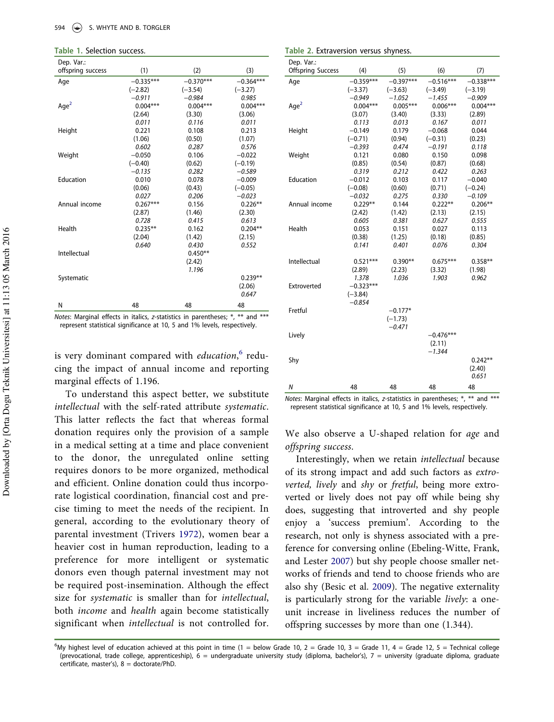| Dep. Var.:        |             |             |             |
|-------------------|-------------|-------------|-------------|
| offspring success | (1)         | (2)         | (3)         |
| Age               | $-0.335***$ | $-0.370***$ | $-0.364***$ |
|                   | $(-2.82)$   | $(-3.54)$   | $(-3.27)$   |
|                   | $-0.911$    | $-0.984$    | 0.985       |
| Aqe <sup>2</sup>  | $0.004***$  | $0.004***$  | $0.004***$  |
|                   | (2.64)      | (3.30)      | (3.06)      |
|                   | 0.011       | 0.116       | 0.011       |
| Height            | 0.221       | 0.108       | 0.213       |
|                   | (1.06)      | (0.50)      | (1.07)      |
|                   | 0.602       | 0.287       | 0.576       |
| Weight            | $-0.050$    | 0.106       | $-0.022$    |
|                   | $(-0.40)$   | (0.62)      | $(-0.19)$   |
|                   | $-0.135$    | 0.282       | $-0.589$    |
| Education         | 0.010       | 0.078       | $-0.009$    |
|                   | (0.06)      | (0.43)      | $(-0.05)$   |
|                   | 0.027       | 0.206       | $-0.023$    |
| Annual income     | $0.267***$  | 0.156       | $0.226**$   |
|                   | (2.87)      | (1.46)      | (2.30)      |
|                   | 0.728       | 0.415       | 0.613       |
| Health            | $0.235***$  | 0.162       | $0.204**$   |
|                   | (2.04)      | (1.42)      | (2.15)      |
|                   | 0.640       | 0.430       | 0.552       |
| Intellectual      |             | $0.450**$   |             |
|                   |             | (2.42)      |             |
|                   |             | 1.196       |             |
| Systematic        |             |             | $0.239**$   |
|                   |             |             | (2.06)      |
|                   |             |             | 0.647       |
| Ν                 | 48          | 48          | 48          |

Notes: Marginal effects in italics, z-statistics in parentheses; \*, \*\* and \*\*\* represent statistical significance at 10, 5 and 1% levels, respectively.

is very dominant compared with education,<sup>6</sup> reducing the impact of annual income and reporting marginal effects of 1.196.

To understand this aspect better, we substitute intellectual with the self-rated attribute systematic. This latter reflects the fact that whereas formal donation requires only the provision of a sample in a medical setting at a time and place convenient to the donor, the unregulated online setting requires donors to be more organized, methodical and efficient. Online donation could thus incorporate logistical coordination, financial cost and precise timing to meet the needs of the recipient. In general, according to the evolutionary theory of parental investment (Trivers 1972), women bear a heavier cost in human reproduction, leading to a preference for more intelligent or systematic donors even though paternal investment may not be required post-insemination. Although the effect size for systematic is smaller than for intellectual, both income and health again become statistically significant when intellectual is not controlled for.

Table 2. Extraversion versus shyness.

| (6)<br><b>Offspring Success</b><br>(4)<br>(5)<br>(7)<br>$-0.359***$<br>$-0.397***$<br>$-0.516***$<br>$-0.338***$<br>Age<br>$(-3.37)$<br>$(-3.63)$<br>$(-3.49)$<br>$(-3.19)$<br>$-1.455$<br>$-0.949$<br>$-1.052$<br>$-0.909$<br>Age <sup>2</sup><br>$0.004***$<br>$0.006***$<br>$0.004***$<br>$0.005***$<br>(3.07)<br>(3.33)<br>(2.89)<br>(3.40) |
|-------------------------------------------------------------------------------------------------------------------------------------------------------------------------------------------------------------------------------------------------------------------------------------------------------------------------------------------------|
|                                                                                                                                                                                                                                                                                                                                                 |
|                                                                                                                                                                                                                                                                                                                                                 |
|                                                                                                                                                                                                                                                                                                                                                 |
|                                                                                                                                                                                                                                                                                                                                                 |
|                                                                                                                                                                                                                                                                                                                                                 |
|                                                                                                                                                                                                                                                                                                                                                 |
| 0.011<br>0.113<br>0.013<br>0.167                                                                                                                                                                                                                                                                                                                |
| $-0.149$<br>$-0.068$<br>Height<br>0.179<br>0.044                                                                                                                                                                                                                                                                                                |
| $(-0.71)$<br>(0.94)<br>$(-0.31)$<br>(0.23)                                                                                                                                                                                                                                                                                                      |
| $-0.393$<br>0.474<br>$-0.191$<br>0.118                                                                                                                                                                                                                                                                                                          |
| 0.121<br>0.098<br>Weight<br>0.080<br>0.150                                                                                                                                                                                                                                                                                                      |
| (0.87)<br>(0.68)<br>(0.85)<br>(0.54)                                                                                                                                                                                                                                                                                                            |
| 0.319<br>0.212<br>0.263<br>0.422                                                                                                                                                                                                                                                                                                                |
| Education<br>$-0.012$<br>0.103<br>0.117<br>$-0.040$                                                                                                                                                                                                                                                                                             |
| $(-0.08)$<br>(0.60)<br>(0.71)<br>$(-0.24)$                                                                                                                                                                                                                                                                                                      |
| $-0.032$<br>0.275<br>0.330<br>$-0.109$                                                                                                                                                                                                                                                                                                          |
| Annual income<br>$0.229**$<br>0.144<br>$0.222**$<br>$0.206**$                                                                                                                                                                                                                                                                                   |
| (2.15)<br>(2.42)<br>(1.42)<br>(2.13)                                                                                                                                                                                                                                                                                                            |
| 0.605<br>0.381<br>0.627<br>0.555                                                                                                                                                                                                                                                                                                                |
| Health<br>0.053<br>0.151<br>0.027<br>0.113                                                                                                                                                                                                                                                                                                      |
| (0.38)<br>(1.25)<br>(0.18)<br>(0.85)                                                                                                                                                                                                                                                                                                            |
| 0.141<br>0.401<br>0.076<br>0.304                                                                                                                                                                                                                                                                                                                |
| Intellectual<br>$0.521***$<br>$0.390**$<br>$0.675***$<br>$0.358**$                                                                                                                                                                                                                                                                              |
| (2.89)<br>(1.98)<br>(2.23)<br>(3.32)                                                                                                                                                                                                                                                                                                            |
| 1.036<br>1.903<br>0.962<br>1.378                                                                                                                                                                                                                                                                                                                |
| $-0.323***$<br>Extroverted                                                                                                                                                                                                                                                                                                                      |
| $(-3.84)$                                                                                                                                                                                                                                                                                                                                       |
| $-0.854$                                                                                                                                                                                                                                                                                                                                        |
| Fretful<br>$-0.177*$                                                                                                                                                                                                                                                                                                                            |
| $(-1.73)$                                                                                                                                                                                                                                                                                                                                       |
| $-0.471$                                                                                                                                                                                                                                                                                                                                        |
| Lively<br>$-0.476***$                                                                                                                                                                                                                                                                                                                           |
| (2.11)                                                                                                                                                                                                                                                                                                                                          |
| $-1.344$                                                                                                                                                                                                                                                                                                                                        |
| Shy<br>$0.242**$                                                                                                                                                                                                                                                                                                                                |
| (2.40)                                                                                                                                                                                                                                                                                                                                          |
| 0.651                                                                                                                                                                                                                                                                                                                                           |
| N<br>48<br>48<br>48<br>48                                                                                                                                                                                                                                                                                                                       |

Notes: Marginal effects in italics, z-statistics in parentheses; \*, \*\* and \*\*\* represent statistical significance at 10, 5 and 1% levels, respectively.

We also observe a U-shaped relation for age and offspring success.

Interestingly, when we retain intellectual because of its strong impact and add such factors as extroverted, lively and shy or fretful, being more extroverted or lively does not pay off while being shy does, suggesting that introverted and shy people enjoy a 'success premium'. According to the research, not only is shyness associated with a preference for conversing online (Ebeling-Witte, Frank, and Lester 2007) but shy people choose smaller networks of friends and tend to choose friends who are also shy (Besic et al. 2009). The negative externality is particularly strong for the variable lively: a oneunit increase in liveliness reduces the number of offspring successes by more than one (1.344).

<sup>&</sup>lt;sup>6</sup>My highest level of education achieved at this point in time (1 = below Grade 10, 2 = Grade 10, 3 = Grade 11, 4 = Grade 12, 5 = Technical college (prevocational, trade college, apprenticeship), 6 = undergraduate university study (diploma, bachelor's), 7 = university (graduate diploma, graduate certificate, master's), 8 = doctorate/PhD.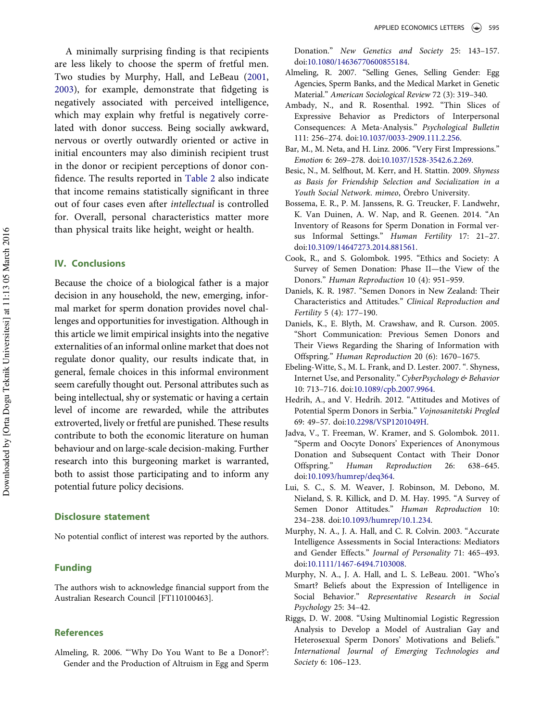A minimally surprising finding is that recipients are less likely to choose the sperm of fretful men. Two studies by Murphy, Hall, and LeBeau (2001, 2003), for example, demonstrate that fidgeting is negatively associated with perceived intelligence, which may explain why fretful is negatively correlated with donor success. Being socially awkward, nervous or overtly outwardly oriented or active in initial encounters may also diminish recipient trust in the donor or recipient perceptions of donor confidence. The results reported in Table 2 also indicate that income remains statistically significant in three out of four cases even after intellectual is controlled for. Overall, personal characteristics matter more than physical traits like height, weight or health.

## IV. Conclusions

Because the choice of a biological father is a major decision in any household, the new, emerging, informal market for sperm donation provides novel challenges and opportunities for investigation. Although in this article we limit empirical insights into the negative externalities of an informal online market that does not regulate donor quality, our results indicate that, in general, female choices in this informal environment seem carefully thought out. Personal attributes such as being intellectual, shy or systematic or having a certain level of income are rewarded, while the attributes extroverted, lively or fretful are punished. These results contribute to both the economic literature on human behaviour and on large-scale decision-making. Further research into this burgeoning market is warranted, both to assist those participating and to inform any potential future policy decisions.

#### Disclosure statement

No potential conflict of interest was reported by the authors.

## Funding

The authors wish to acknowledge financial support from the Australian Research Council [FT110100463].

#### References

Almeling, R. 2006. "'Why Do You Want to Be a Donor?': Gender and the Production of Altruism in Egg and Sperm

Donation." New Genetics and Society 25: 143–157. doi:10.1080/14636770600855184.

- Almeling, R. 2007. "Selling Genes, Selling Gender: Egg Agencies, Sperm Banks, and the Medical Market in Genetic Material." American Sociological Review 72 (3): 319–340.
- Ambady, N., and R. Rosenthal. 1992. "Thin Slices of Expressive Behavior as Predictors of Interpersonal Consequences: A Meta-Analysis." Psychological Bulletin 111: 256–274. doi:10.1037/0033-2909.111.2.256.
- Bar, M., M. Neta, and H. Linz. 2006. "Very First Impressions." Emotion 6: 269–278. doi:10.1037/1528-3542.6.2.269.
- Besic, N., M. Selfhout, M. Kerr, and H. Stattin. 2009. Shyness as Basis for Friendship Selection and Socialization in a Youth Social Network. mimeo, Örebro University.
- Bossema, E. R., P. M. Janssens, R. G. Treucker, F. Landwehr, K. Van Duinen, A. W. Nap, and R. Geenen. 2014. "An Inventory of Reasons for Sperm Donation in Formal versus Informal Settings." Human Fertility 17: 21–27. doi:10.3109/14647273.2014.881561.
- Cook, R., and S. Golombok. 1995. "Ethics and Society: A Survey of Semen Donation: Phase II—the View of the Donors." Human Reproduction 10 (4): 951–959.
- Daniels, K. R. 1987. "Semen Donors in New Zealand: Their Characteristics and Attitudes." Clinical Reproduction and Fertility 5 (4): 177–190.
- Daniels, K., E. Blyth, M. Crawshaw, and R. Curson. 2005. "Short Communication: Previous Semen Donors and Their Views Regarding the Sharing of Information with Offspring." Human Reproduction 20 (6): 1670–1675.
- Ebeling-Witte, S., M. L. Frank, and D. Lester. 2007. ". Shyness, Internet Use, and Personality." CyberPsychology & Behavior 10: 713–716. doi:10.1089/cpb.2007.9964.
- Hedrih, A., and V. Hedrih. 2012. "Attitudes and Motives of Potential Sperm Donors in Serbia." Vojnosanitetski Pregled 69: 49–57. doi:10.2298/VSP1201049H.
- Jadva, V., T. Freeman, W. Kramer, and S. Golombok. 2011. "Sperm and Oocyte Donors' Experiences of Anonymous Donation and Subsequent Contact with Their Donor Offspring." Human Reproduction 26: 638–645. doi:10.1093/humrep/deq364.
- Lui, S. C., S. M. Weaver, J. Robinson, M. Debono, M. Nieland, S. R. Killick, and D. M. Hay. 1995. "A Survey of Semen Donor Attitudes." Human Reproduction 10: 234–238. doi:10.1093/humrep/10.1.234.
- Murphy, N. A., J. A. Hall, and C. R. Colvin. 2003. "Accurate Intelligence Assessments in Social Interactions: Mediators and Gender Effects." Journal of Personality 71: 465–493. doi:10.1111/1467-6494.7103008.
- Murphy, N. A., J. A. Hall, and L. S. LeBeau. 2001. "Who's Smart? Beliefs about the Expression of Intelligence in Social Behavior." Representative Research in Social Psychology 25: 34–42.
- Riggs, D. W. 2008. "Using Multinomial Logistic Regression Analysis to Develop a Model of Australian Gay and Heterosexual Sperm Donors' Motivations and Beliefs." International Journal of Emerging Technologies and Society 6: 106–123.